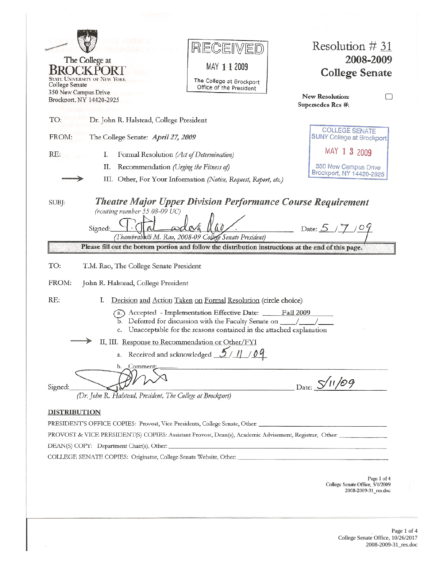| RECEIVED<br>The College at<br>MAY 1 1 2009<br>K POI<br>STATE UNIVERSITY OF NEW YORK<br>The College at Brockport                                                                                                                                          | Resolution $\# 31$<br>2008-2009<br><b>College Senate</b> |  |
|----------------------------------------------------------------------------------------------------------------------------------------------------------------------------------------------------------------------------------------------------------|----------------------------------------------------------|--|
| College Senate<br>Office of the President<br>350 New Campus Drive<br>Brockport, NY 14420-2925                                                                                                                                                            | New Resolution:<br>Supersedes Res #:                     |  |
| TO:<br>Dr. John R. Halstead, College President                                                                                                                                                                                                           |                                                          |  |
| FROM:<br>The College Senate: April 27, 2009                                                                                                                                                                                                              | <b>COLLEGE SENATE</b><br>SUNY College at Brockport       |  |
| RE:<br>Ι.<br>Formal Resolution (Act of Determination)                                                                                                                                                                                                    | MAY 1 3 2009                                             |  |
| Recommendation (Urging the Fitness of)<br>П.<br>III. Other, For Your Information (Notice, Request, Report, etc.)                                                                                                                                         | 350 New Campus Drive<br>Brockport, NY 14420-2925         |  |
| (routing number 55 08-09 UC)<br>Signed:<br>(Thambrahalli M. Rao, 2008-09 College Senate President)                                                                                                                                                       | Date: $5/7/09$                                           |  |
| Please fill out the bottom portion and follow the distribution instructions at the end of this page.                                                                                                                                                     |                                                          |  |
| TO:<br>T.M. Rao, The College Senate President                                                                                                                                                                                                            |                                                          |  |
| FROM:<br>John R. Halstead, College President                                                                                                                                                                                                             |                                                          |  |
| RE:<br>I.<br>Decision and Action Taken on Formal Resolution (circle choice)                                                                                                                                                                              |                                                          |  |
| Accepted - Implementation Effective Date:<br>Unacceptable for the reasons contained in the attached explanation<br>c.                                                                                                                                    | <b>Fall 2009</b>                                         |  |
| II, III. Response to Recommendation or Other/FYI                                                                                                                                                                                                         |                                                          |  |
| a. Received and acknowledged $\frac{5}{11}$ / 09                                                                                                                                                                                                         |                                                          |  |
| Comment<br>(Dr. John R. Halstead, President, The College at Brockport)                                                                                                                                                                                   | Date: $S/11/09$                                          |  |
|                                                                                                                                                                                                                                                          |                                                          |  |
|                                                                                                                                                                                                                                                          |                                                          |  |
|                                                                                                                                                                                                                                                          |                                                          |  |
| Signed:<br><b>DISTRIBUTION</b><br>PRESIDENT'S OFFICE COPIES: Provost, Vice Presidents, College Senate, Other: __________________________________<br>COLLEGE SENATE COPIES: Originator, College Senate Website, Other: __________________________________ |                                                          |  |

Page 1 of 4 College Senate Office, 10/26/2017 2008-2009-31\_res.doc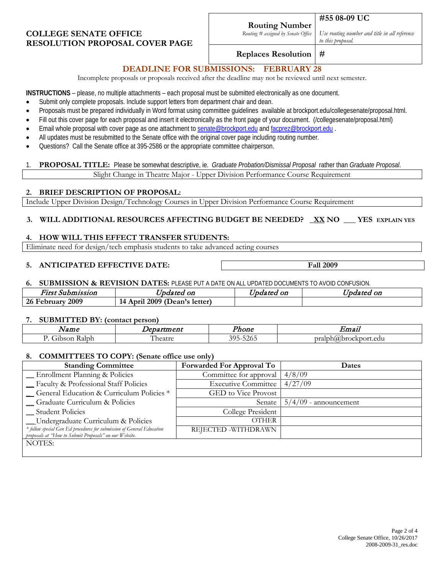## **COLLEGE SENATE OFFICE RESOLUTION PROPOSAL COVER PAGE**

*Routing # assigned by Senate Office*

*Use routing number and title in all reference to this proposal.*

### **Replaces Resolution #**

## **DEADLINE FOR SUBMISSIONS: FEBRUARY 28**

Incomplete proposals or proposals received after the deadline may not be reviewed until next semester.

**INSTRUCTIONS** – please, no multiple attachments – each proposal must be submitted electronically as one document.

- Submit only complete proposals. Include support letters from department chair and dean.
- Proposals must be prepared individually in Word format using committee guidelines available at brockport.edu/collegesenate/proposal.html.
- Fill out this cover page for each proposal and insert it electronically as the front page of your document. (/collegesenate/proposal.html)
- Email whole proposal with cover page as one attachment t[o senate@brockport.edu](mailto:fsenate@brockport.edu) and [facprez@brockport.edu](mailto:facprez@brockport.edu).
- All updates must be resubmitted to the Senate office with the original cover page including routing number.
- Questions? Call the Senate office at 395-2586 or the appropriate committee chairperson.

#### 1. **PROPOSAL TITLE:** Please be somewhat descriptive, ie. *Graduate Probation/Dismissal Proposal* rather than *Graduate Proposal*. Slight Change in Theatre Major - Upper Division Performance Course Requirement

### **2. BRIEF DESCRIPTION OF PROPOSAL:**

Include Upper Division Design/Technology Courses in Upper Division Performance Course Requirement

### **3. WILL ADDITIONAL RESOURCES AFFECTING BUDGET BE NEEDED? \_XX NO \_\_\_ YES EXPLAIN YES**

### **4. HOW WILL THIS EFFECT TRANSFER STUDENTS:**

Eliminate need for design/tech emphasis students to take advanced acting courses

### **5. ANTICIPATED EFFECTIVE DATE: Fall 2009**

#### **6. SUBMISSION & REVISION DATES:** PLEASE PUT A DATE ON ALL UPDATED DOCUMENTS TO AVOID CONFUSION.

| <b>First Submission</b> | <i>Jpdated on</i>                   | Updated on | $- -$<br>Updated on |
|-------------------------|-------------------------------------|------------|---------------------|
| 2009<br>26 February     | 2009 (Dean's letter)<br>April<br>14 |            |                     |

#### **7. SUBMITTED BY: (contact person)**

| ____<br>___<br>___<br>Name | .<br>$-$ man $-$<br>'CIIL | hone                                                                | $\sim$ $\sim$<br>Emai.           |
|----------------------------|---------------------------|---------------------------------------------------------------------|----------------------------------|
| Iph.<br>าท<br>ъc           | hant $r$<br>au L<br>.     | $\overline{\phantom{a}}$<br>$- - - -$<br>. .<br>$\cdot$ / $\sim$ 1. | orah<br>"brr<br>OCKDOLL.<br>edu. |

### **8. COMMITTEES TO COPY: (Senate office use only)**

| <b>Standing Committee</b>                                                                                                        | <b>Forwarded For Approval To</b> | Dates                   |
|----------------------------------------------------------------------------------------------------------------------------------|----------------------------------|-------------------------|
| - Enrollment Planning & Policies                                                                                                 | Committee for approval           | 4/8/09                  |
| - Faculty & Professional Staff Policies                                                                                          | <b>Executive Committee</b>       | 4/27/09                 |
| - General Education & Curriculum Policies *                                                                                      | GED to Vice Provost              |                         |
| <b>Graduate Curriculum &amp; Policies</b>                                                                                        | Senate                           | $5/4/09$ - announcement |
| <b>Student Policies</b>                                                                                                          | College President                |                         |
| __Undergraduate Curriculum & Policies                                                                                            | <b>OTHER</b>                     |                         |
| * follow special Gen Ed procedures for submission of General Education<br>proposals at "How to Submit Proposals" on our Website. | REJECTED -WITHDRAWN              |                         |
| NOTES:                                                                                                                           |                                  |                         |
|                                                                                                                                  |                                  |                         |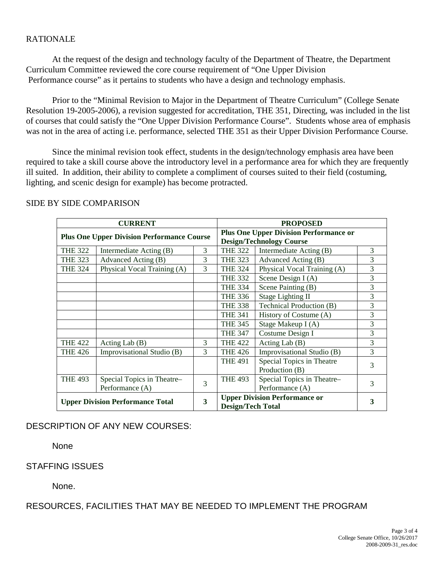## RATIONALE

At the request of the design and technology faculty of the Department of Theatre, the Department Curriculum Committee reviewed the core course requirement of "One Upper Division Performance course" as it pertains to students who have a design and technology emphasis.

Prior to the "Minimal Revision to Major in the Department of Theatre Curriculum" (College Senate Resolution 19-2005-2006), a revision suggested for accreditation, THE 351, Directing, was included in the list of courses that could satisfy the "One Upper Division Performance Course". Students whose area of emphasis was not in the area of acting i.e. performance, selected THE 351 as their Upper Division Performance Course.

Since the minimal revision took effect, students in the design/technology emphasis area have been required to take a skill course above the introductory level in a performance area for which they are frequently ill suited. In addition, their ability to complete a compliment of courses suited to their field (costuming, lighting, and scenic design for example) has become protracted.

|                                                                          | <b>CURRENT</b><br><b>PROPOSED</b> |                                               |                                      |                             |   |
|--------------------------------------------------------------------------|-----------------------------------|-----------------------------------------------|--------------------------------------|-----------------------------|---|
| <b>Plus One Upper Division Performance Course</b>                        |                                   | <b>Plus One Upper Division Performance or</b> |                                      |                             |   |
|                                                                          |                                   |                                               | <b>Design/Technology Course</b>      |                             |   |
| <b>THE 322</b>                                                           | Intermediate Acting (B)           | 3                                             | <b>THE 322</b>                       | Intermediate Acting (B)     | 3 |
| <b>THE 323</b>                                                           | Advanced Acting (B)               | 3                                             | <b>THE 323</b>                       | Advanced Acting (B)         | 3 |
| <b>THE 324</b>                                                           | Physical Vocal Training (A)       | 3                                             | <b>THE 324</b>                       | Physical Vocal Training (A) | 3 |
|                                                                          |                                   |                                               | <b>THE 332</b>                       | Scene Design $I(A)$         | 3 |
|                                                                          |                                   |                                               | <b>THE 334</b>                       | Scene Painting (B)          | 3 |
|                                                                          |                                   |                                               | <b>THE 336</b>                       | <b>Stage Lighting II</b>    | 3 |
|                                                                          |                                   |                                               | <b>THE 338</b>                       | Technical Production (B)    | 3 |
|                                                                          |                                   |                                               | <b>THE 341</b>                       | History of Costume (A)      | 3 |
|                                                                          |                                   |                                               | <b>THE 345</b>                       | Stage Makeup I (A)          | 3 |
|                                                                          |                                   |                                               | <b>THE 347</b>                       | Costume Design I            | 3 |
| <b>THE 422</b>                                                           | Acting Lab $(B)$                  | 3                                             | <b>THE 422</b>                       | Acting Lab $(B)$            | 3 |
| <b>THE 426</b>                                                           | Improvisational Studio (B)        | 3                                             | <b>THE 426</b>                       | Improvisational Studio (B)  | 3 |
|                                                                          |                                   |                                               | <b>THE 491</b>                       | Special Topics in Theatre   | 3 |
|                                                                          |                                   |                                               |                                      | Production (B)              |   |
| <b>THE 493</b>                                                           | Special Topics in Theatre-        | 3                                             | <b>THE 493</b>                       | Special Topics in Theatre-  | 3 |
|                                                                          | Performance (A)                   |                                               |                                      | Performance (A)             |   |
|                                                                          |                                   |                                               | <b>Upper Division Performance or</b> | 3                           |   |
| 3<br><b>Upper Division Performance Total</b><br><b>Design/Tech Total</b> |                                   |                                               |                                      |                             |   |

### SIDE BY SIDE COMPARISON

# DESCRIPTION OF ANY NEW COURSES:

**None** 

### STAFFING ISSUES

None.

RESOURCES, FACILITIES THAT MAY BE NEEDED TO IMPLEMENT THE PROGRAM